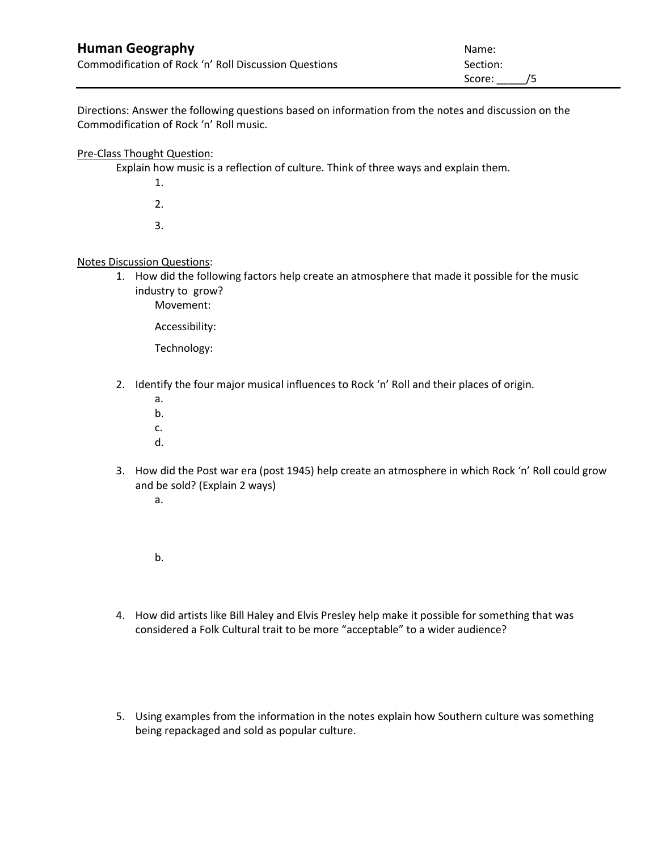| <b>Human Geography</b>                                | Name:     |
|-------------------------------------------------------|-----------|
| Commodification of Rock 'n' Roll Discussion Questions | Section:  |
|                                                       | Score: /5 |

Directions: Answer the following questions based on information from the notes and discussion on the Commodification of Rock 'n' Roll music.

## Pre-Class Thought Question:

Explain how music is a reflection of culture. Think of three ways and explain them.

- 1.
- 2.
- 3.

## Notes Discussion Questions:

- 1. How did the following factors help create an atmosphere that made it possible for the music industry to grow?
	- Movement:

Accessibility:

Technology:

- 2. Identify the four major musical influences to Rock 'n' Roll and their places of origin.
	- a. b. c.
	- d.
- 3. How did the Post war era (post 1945) help create an atmosphere in which Rock 'n' Roll could grow and be sold? (Explain 2 ways)
	- a.

b.

- 4. How did artists like Bill Haley and Elvis Presley help make it possible for something that was considered a Folk Cultural trait to be more "acceptable" to a wider audience?
- 5. Using examples from the information in the notes explain how Southern culture was something being repackaged and sold as popular culture.